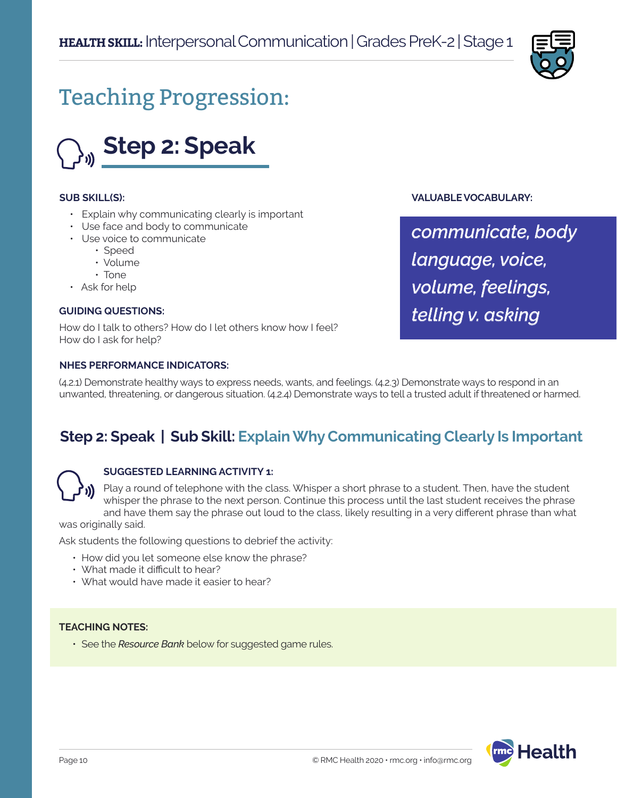

# Teaching Progression:



### **SUB SKILL(S):**

- Explain why communicating clearly is important
- Use face and body to communicate
- Use voice to communicate
	- Speed
	- Volume
	- Tone
- Ask for help

### **GUIDING QUESTIONS:**

How do I talk to others? How do I let others know how I feel? How do I ask for help?

### **NHES PERFORMANCE INDICATORS:**

**VALUABLE VOCABULARY:**

*communicate, body language, voice, volume, feelings, telling v. asking* 

(4.2.1) Demonstrate healthy ways to express needs, wants, and feelings. (4.2.3) Demonstrate ways to respond in an unwanted, threatening, or dangerous situation. (4.2.4) Demonstrate ways to tell a trusted adult if threatened or harmed.

### **Step 2: Speak | Sub Skill: Explain Why Communicating Clearly Is Important**



### **SUGGESTED LEARNING ACTIVITY 1:**

Play a round of telephone with the class. Whisper a short phrase to a student. Then, have the student whisper the phrase to the next person. Continue this process until the last student receives the phrase and have them say the phrase out loud to the class, likely resulting in a very different phrase than what

was originally said.

Ask students the following questions to debrief the activity:

- How did you let someone else know the phrase?
- What made it difficult to hear?
- What would have made it easier to hear?

### **TEACHING NOTES:**

• See the *Resource Bank* below for suggested game rules.

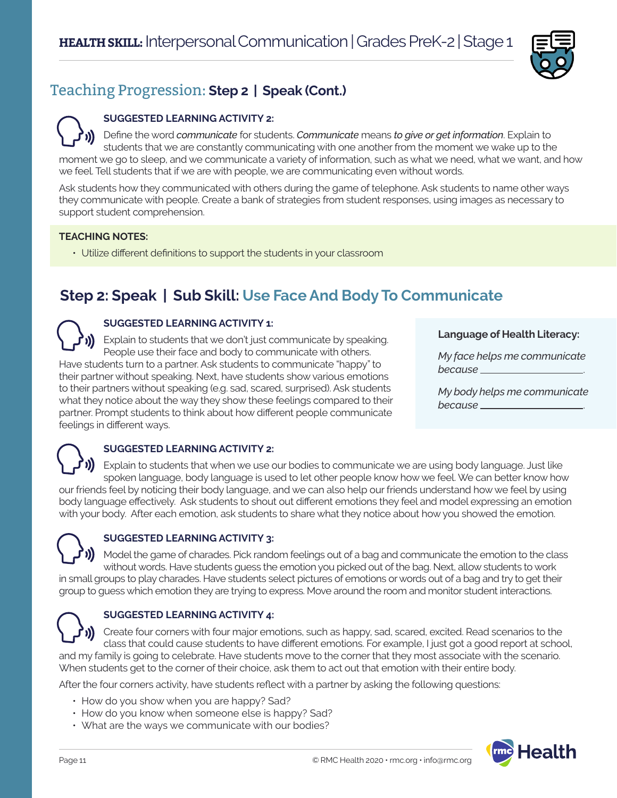

### Teaching Progression: **Step 2 | Speak (Cont.)**

### **SUGGESTED LEARNING ACTIVITY 2:**

Define the word *communicate* for students. *Communicate* means *to give or get information*. Explain to students that we are constantly communicating with one another from the moment we wake up to the moment we go to sleep, and we communicate a variety of information, such as what we need, what we want, and how we feel. Tell students that if we are with people, we are communicating even without words.

Ask students how they communicated with others during the game of telephone. Ask students to name other ways they communicate with people. Create a bank of strategies from student responses, using images as necessary to support student comprehension.

### **TEACHING NOTES:**

• Utilize different definitions to support the students in your classroom

## **Step 2: Speak | Sub Skill: Use Face And Body To Communicate**

### **SUGGESTED LEARNING ACTIVITY 1:**

Explain to students that we don't just communicate by speaking. People use their face and body to communicate with others. Have students turn to a partner. Ask students to communicate "happy" to their partner without speaking. Next, have students show various emotions to their partners without speaking (e.g. sad, scared, surprised). Ask students what they notice about the way they show these feelings compared to their partner. Prompt students to think about how different people communicate feelings in different ways.

### **Language of Health Literacy:**

*My face helps me communicate because* .

*My body helps me communicate because* .

### **SUGGESTED LEARNING ACTIVITY 2:**

Explain to students that when we use our bodies to communicate we are using body language. Just like spoken language, body language is used to let other people know how we feel. We can better know how our friends feel by noticing their body language, and we can also help our friends understand how we feel by using body language effectively. Ask students to shout out different emotions they feel and model expressing an emotion with your body. After each emotion, ask students to share what they notice about how you showed the emotion.

### **SUGGESTED LEARNING ACTIVITY 3:**

Model the game of charades. Pick random feelings out of a bag and communicate the emotion to the class without words. Have students guess the emotion you picked out of the bag. Next, allow students to work in small groups to play charades. Have students select pictures of emotions or words out of a bag and try to get their group to guess which emotion they are trying to express. Move around the room and monitor student interactions.

### **SUGGESTED LEARNING ACTIVITY 4:**

Create four corners with four major emotions, such as happy, sad, scared, excited. Read scenarios to the class that could cause students to have different emotions. For example, I just got a good report at school, and my family is going to celebrate. Have students move to the corner that they most associate with the scenario. When students get to the corner of their choice, ask them to act out that emotion with their entire body.

After the four corners activity, have students reflect with a partner by asking the following questions:

- How do you show when you are happy? Sad?
- How do you know when someone else is happy? Sad?
- What are the ways we communicate with our bodies?

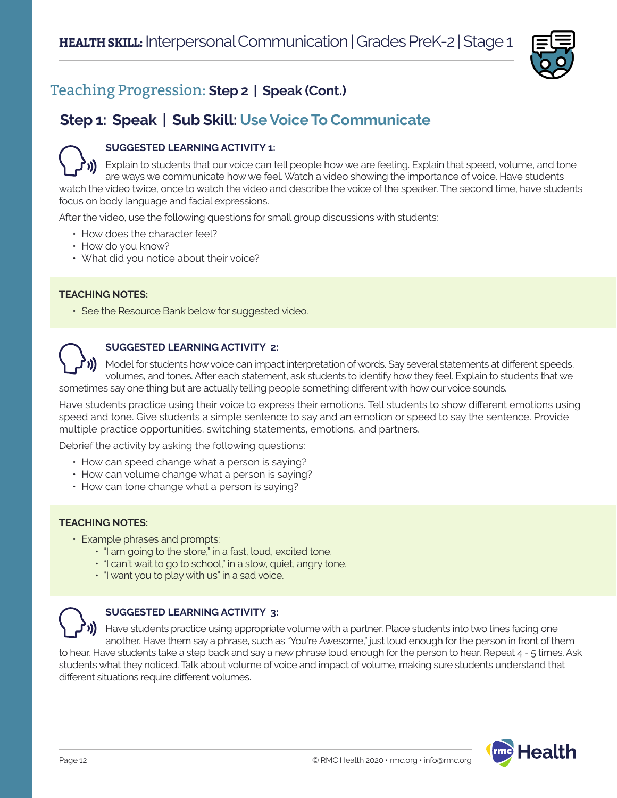

### Teaching Progression: **Step 2 | Speak (Cont.)**

### **Step 1: Speak | Sub Skill: Use Voice To Communicate**

### **SUGGESTED LEARNING ACTIVITY 1:**

Explain to students that our voice can tell people how we are feeling. Explain that speed, volume, and tone are ways we communicate how we feel. Watch a video showing the importance of voice. Have students watch the video twice, once to watch the video and describe the voice of the speaker. The second time, have students focus on body language and facial expressions.

After the video, use the following questions for small group discussions with students:

- How does the character feel?
- How do you know?
- What did you notice about their voice?

### **TEACHING NOTES:**

• See the Resource Bank below for suggested video.



### **SUGGESTED LEARNING ACTIVITY 2:**

Model for students how voice can impact interpretation of words. Say several statements at different speeds, volumes, and tones. After each statement, ask students to identify how they feel. Explain to students that we sometimes say one thing but are actually telling people something different with how our voice sounds.

Have students practice using their voice to express their emotions. Tell students to show different emotions using speed and tone. Give students a simple sentence to say and an emotion or speed to say the sentence. Provide multiple practice opportunities, switching statements, emotions, and partners.

Debrief the activity by asking the following questions:

- How can speed change what a person is saying?
- How can volume change what a person is saying?
- How can tone change what a person is saying?

### **TEACHING NOTES:**

- Example phrases and prompts:
	- "I am going to the store," in a fast, loud, excited tone.
	- "I can't wait to go to school," in a slow, quiet, angry tone.
	- "I want you to play with us" in a sad voice.



### **SUGGESTED LEARNING ACTIVITY 3:**

Have students practice using appropriate volume with a partner. Place students into two lines facing one another. Have them say a phrase, such as "You're Awesome," just loud enough for the person in front of them to hear. Have students take a step back and say a new phrase loud enough for the person to hear. Repeat 4 - 5 times. Ask students what they noticed. Talk about volume of voice and impact of volume, making sure students understand that

different situations require different volumes.